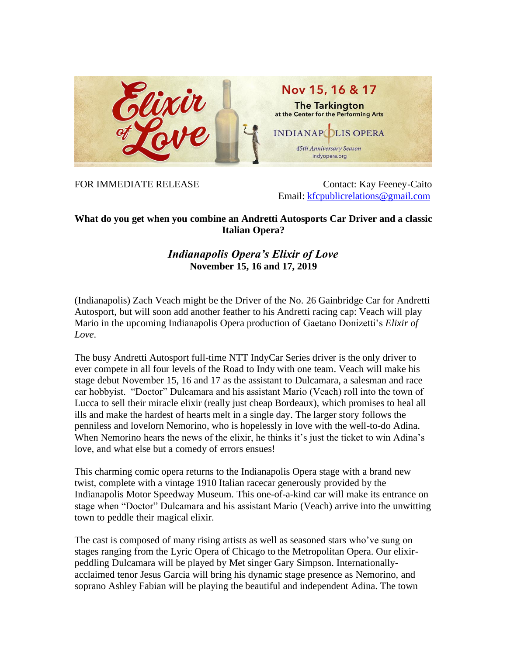

FOR IMMEDIATE RELEASE Contact: Kay Feeney-Caito Email: [kfcpublicrelations@gmail.com](mailto:kfcpublicrelations@gmail.com)

## **What do you get when you combine an Andretti Autosports Car Driver and a classic Italian Opera?**

## *Indianapolis Opera's Elixir of Love* **November 15, 16 and 17, 2019**

(Indianapolis) Zach Veach might be the Driver of the No. 26 Gainbridge Car for Andretti Autosport, but will soon add another feather to his Andretti racing cap: Veach will play Mario in the upcoming Indianapolis Opera production of Gaetano Donizetti's *Elixir of Love*.

The busy Andretti Autosport full-time NTT IndyCar Series driver is the only driver to ever compete in all four levels of the Road to Indy with one team. Veach will make his stage debut November 15, 16 and 17 as the assistant to Dulcamara, a salesman and race car hobbyist. "Doctor" Dulcamara and his assistant Mario (Veach) roll into the town of Lucca to sell their miracle elixir (really just cheap Bordeaux), which promises to heal all ills and make the hardest of hearts melt in a single day. The larger story follows the penniless and lovelorn Nemorino, who is hopelessly in love with the well-to-do Adina. When Nemorino hears the news of the elixir, he thinks it's just the ticket to win Adina's love, and what else but a comedy of errors ensues!

This charming comic opera returns to the Indianapolis Opera stage with a brand new twist, complete with a vintage 1910 Italian racecar generously provided by the Indianapolis Motor Speedway Museum. This one-of-a-kind car will make its entrance on stage when "Doctor" Dulcamara and his assistant Mario (Veach) arrive into the unwitting town to peddle their magical elixir.

The cast is composed of many rising artists as well as seasoned stars who've sung on stages ranging from the Lyric Opera of Chicago to the Metropolitan Opera. Our elixirpeddling Dulcamara will be played by Met singer Gary Simpson. Internationallyacclaimed tenor Jesus Garcia will bring his dynamic stage presence as Nemorino, and soprano Ashley Fabian will be playing the beautiful and independent Adina. The town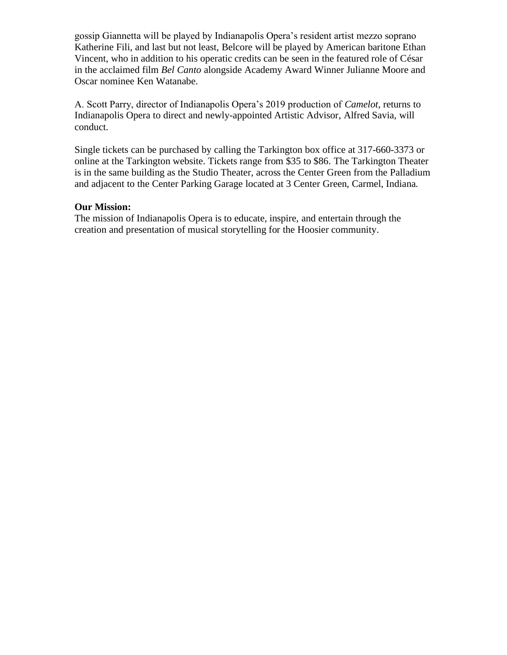gossip Giannetta will be played by Indianapolis Opera's resident artist mezzo soprano Katherine Fili, and last but not least, Belcore will be played by American baritone Ethan Vincent, who in addition to his operatic credits can be seen in the featured role of César in the acclaimed film *Bel Canto* alongside Academy Award Winner Julianne Moore and Oscar nominee Ken Watanabe.

A. Scott Parry, director of Indianapolis Opera's 2019 production of *Camelot*, returns to Indianapolis Opera to direct and newly-appointed Artistic Advisor, Alfred Savia, will conduct.

Single tickets can be purchased by calling the Tarkington box office at 317-660-3373 or online at the Tarkington website. Tickets range from \$35 to \$86. The Tarkington Theater is in the same building as the Studio Theater, across the Center Green from the Palladium and adjacent to the Center Parking Garage located at 3 Center Green, Carmel, Indiana.

## **Our Mission:**

The mission of Indianapolis Opera is to educate, inspire, and entertain through the creation and presentation of musical storytelling for the Hoosier community.